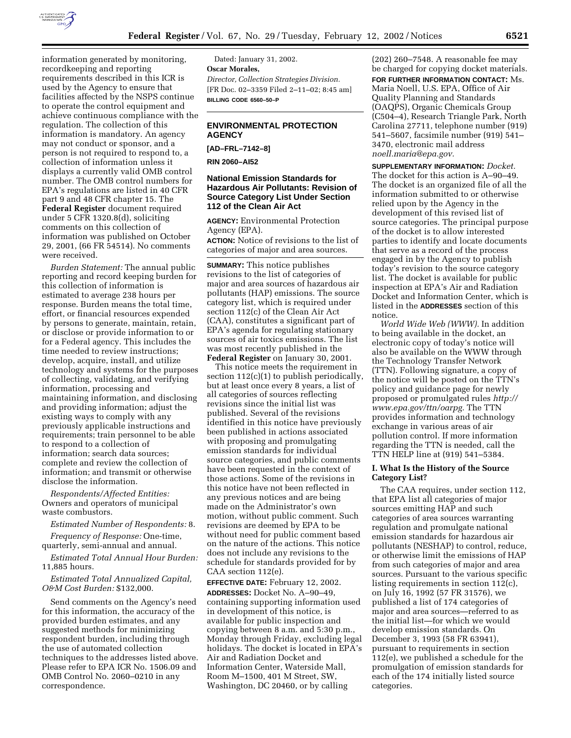

information generated by monitoring, recordkeeping and reporting requirements described in this ICR is used by the Agency to ensure that facilities affected by the NSPS continue to operate the control equipment and achieve continuous compliance with the regulation. The collection of this information is mandatory. An agency may not conduct or sponsor, and a person is not required to respond to, a collection of information unless it displays a currently valid OMB control number. The OMB control numbers for EPA's regulations are listed in 40 CFR part 9 and 48 CFR chapter 15. The **Federal Register** document required under 5 CFR 1320.8(d), soliciting comments on this collection of information was published on October 29, 2001, (66 FR 54514). No comments were received.

*Burden Statement:* The annual public reporting and record keeping burden for this collection of information is estimated to average 238 hours per response. Burden means the total time, effort, or financial resources expended by persons to generate, maintain, retain, or disclose or provide information to or for a Federal agency. This includes the time needed to review instructions; develop, acquire, install, and utilize technology and systems for the purposes of collecting, validating, and verifying information, processing and maintaining information, and disclosing and providing information; adjust the existing ways to comply with any previously applicable instructions and requirements; train personnel to be able to respond to a collection of information; search data sources; complete and review the collection of information; and transmit or otherwise disclose the information.

*Respondents/Affected Entities:* Owners and operators of municipal waste combustors.

*Estimated Number of Respondents:* 8. *Frequency of Response:* One-time,

quarterly, semi-annual and annual.

*Estimated Total Annual Hour Burden:* 11,885 hours.

*Estimated Total Annualized Capital, O&M Cost Burden:* \$132,000.

Send comments on the Agency's need for this information, the accuracy of the provided burden estimates, and any suggested methods for minimizing respondent burden, including through the use of automated collection techniques to the addresses listed above. Please refer to EPA ICR No. 1506.09 and OMB Control No. 2060–0210 in any correspondence.

Dated: January 31, 2002. **Oscar Morales,** *Director, Collection Strategies Division.* [FR Doc. 02–3359 Filed 2–11–02; 8:45 am] **BILLING CODE 6560–50–P**

### **ENVIRONMENTAL PROTECTION AGENCY**

### **[AD–FRL–7142–8]**

**RIN 2060–AI52**

### **National Emission Standards for Hazardous Air Pollutants: Revision of Source Category List Under Section 112 of the Clean Air Act**

**AGENCY:** Environmental Protection Agency (EPA).

**ACTION:** Notice of revisions to the list of categories of major and area sources.

**SUMMARY:** This notice publishes revisions to the list of categories of major and area sources of hazardous air pollutants (HAP) emissions. The source category list, which is required under section 112(c) of the Clean Air Act (CAA), constitutes a significant part of EPA's agenda for regulating stationary sources of air toxics emissions. The list was most recently published in the **Federal Register** on January 30, 2001.

This notice meets the requirement in section 112(c)(1) to publish periodically, but at least once every 8 years, a list of all categories of sources reflecting revisions since the initial list was published. Several of the revisions identified in this notice have previously been published in actions associated with proposing and promulgating emission standards for individual source categories, and public comments have been requested in the context of those actions. Some of the revisions in this notice have not been reflected in any previous notices and are being made on the Administrator's own motion, without public comment. Such revisions are deemed by EPA to be without need for public comment based on the nature of the actions. This notice does not include any revisions to the schedule for standards provided for by CAA section 112(e).

**EFFECTIVE DATE:** February 12, 2002. **ADDRESSES:** Docket No. A–90–49, containing supporting information used in development of this notice, is available for public inspection and copying between 8 a.m. and 5:30 p.m., Monday through Friday, excluding legal holidays. The docket is located in EPA's Air and Radiation Docket and Information Center, Waterside Mall, Room M–1500, 401 M Street, SW, Washington, DC 20460, or by calling

(202) 260–7548. A reasonable fee may be charged for copying docket materials. **FOR FURTHER INFORMATION CONTACT:** Ms. Maria Noell, U.S. EPA, Office of Air Quality Planning and Standards (OAQPS), Organic Chemicals Group (C504–4), Research Triangle Park, North Carolina 27711, telephone number (919) 541–5607, facsimile number (919) 541– 3470, electronic mail address *noell.maria@epa.gov.*

**SUPPLEMENTARY INFORMATION:** *Docket.* The docket for this action is A–90–49. The docket is an organized file of all the information submitted to or otherwise relied upon by the Agency in the development of this revised list of source categories. The principal purpose of the docket is to allow interested parties to identify and locate documents that serve as a record of the process engaged in by the Agency to publish today's revision to the source category list. The docket is available for public inspection at EPA's Air and Radiation Docket and Information Center, which is listed in the **ADDRESSES** section of this notice.

*World Wide Web (WWW).* In addition to being available in the docket, an electronic copy of today's notice will also be available on the WWW through the Technology Transfer Network (TTN). Following signature, a copy of the notice will be posted on the TTN's policy and guidance page for newly proposed or promulgated rules *http:// www.epa.gov/ttn/oarpg.* The TTN provides information and technology exchange in various areas of air pollution control. If more information regarding the TTN is needed, call the TTN HELP line at (919) 541–5384.

### **I. What Is the History of the Source Category List?**

The CAA requires, under section 112, that EPA list all categories of major sources emitting HAP and such categories of area sources warranting regulation and promulgate national emission standards for hazardous air pollutants (NESHAP) to control, reduce, or otherwise limit the emissions of HAP from such categories of major and area sources. Pursuant to the various specific listing requirements in section 112(c), on July 16, 1992 (57 FR 31576), we published a list of 174 categories of major and area sources—referred to as the initial list—for which we would develop emission standards. On December 3, 1993 (58 FR 63941), pursuant to requirements in section 112(e), we published a schedule for the promulgation of emission standards for each of the 174 initially listed source categories.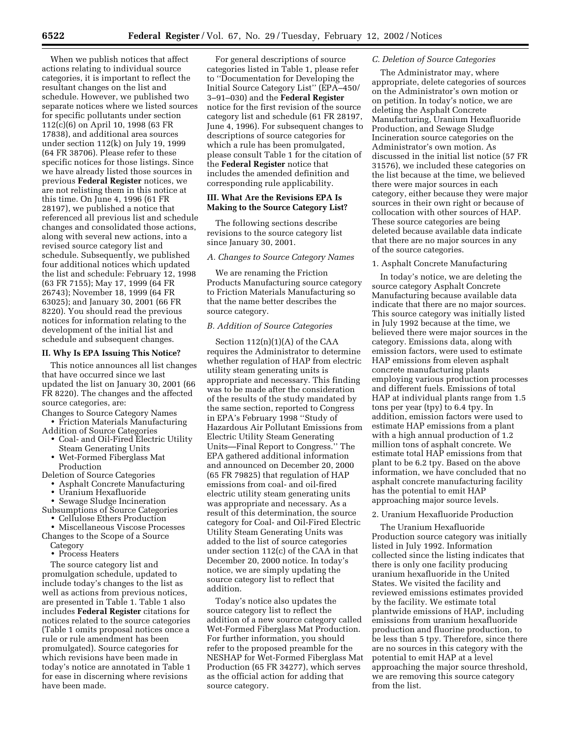When we publish notices that affect actions relating to individual source categories, it is important to reflect the resultant changes on the list and schedule. However, we published two separate notices where we listed sources for specific pollutants under section 112(c)(6) on April 10, 1998 (63 FR 17838), and additional area sources under section 112(k) on July 19, 1999 (64 FR 38706). Please refer to these specific notices for those listings. Since we have already listed those sources in previous **Federal Register** notices, we are not relisting them in this notice at this time. On June 4, 1996 (61 FR 28197), we published a notice that referenced all previous list and schedule changes and consolidated those actions, along with several new actions, into a revised source category list and schedule. Subsequently, we published four additional notices which updated the list and schedule: February 12, 1998 (63 FR 7155); May 17, 1999 (64 FR 26743); November 18, 1999 (64 FR 63025); and January 30, 2001 (66 FR 8220). You should read the previous notices for information relating to the development of the initial list and schedule and subsequent changes.

### **II. Why Is EPA Issuing This Notice?**

This notice announces all list changes that have occurred since we last updated the list on January 30, 2001 (66 FR 8220). The changes and the affected source categories, are:

Changes to Source Category Names • Friction Materials Manufacturing

- Addition of Source Categories • Coal- and Oil-Fired Electric Utility
- Steam Generating Units
- Wet-Formed Fiberglass Mat

Production Deletion of Source Categories

- Asphalt Concrete Manufacturing
- Uranium Hexafluoride
- Sewage Sludge Incineration
- Subsumptions of Source Categories • Cellulose Ethers Production
- Miscellaneous Viscose Processes Changes to the Scope of a Source
	- Category
	- Process Heaters

The source category list and promulgation schedule, updated to include today's changes to the list as well as actions from previous notices, are presented in Table 1. Table 1 also includes **Federal Register** citations for notices related to the source categories (Table 1 omits proposal notices once a rule or rule amendment has been promulgated). Source categories for which revisions have been made in today's notice are annotated in Table 1 for ease in discerning where revisions have been made.

For general descriptions of source categories listed in Table 1, please refer to ''Documentation for Developing the Initial Source Category List'' (EPA–450/ 3–91–030) and the **Federal Register** notice for the first revision of the source category list and schedule (61 FR 28197, June 4, 1996). For subsequent changes to descriptions of source categories for which a rule has been promulgated, please consult Table 1 for the citation of the **Federal Register** notice that includes the amended definition and corresponding rule applicability.

### **III. What Are the Revisions EPA Is Making to the Source Category List?**

The following sections describe revisions to the source category list since January 30, 2001.

### *A. Changes to Source Category Names*

We are renaming the Friction Products Manufacturing source category to Friction Materials Manufacturing so that the name better describes the source category.

#### *B. Addition of Source Categories*

Section 112(n)(1)(A) of the CAA requires the Administrator to determine whether regulation of HAP from electric utility steam generating units is appropriate and necessary. This finding was to be made after the consideration of the results of the study mandated by the same section, reported to Congress in EPA's February 1998 ''Study of Hazardous Air Pollutant Emissions from Electric Utility Steam Generating Units—Final Report to Congress.'' The EPA gathered additional information and announced on December 20, 2000 (65 FR 79825) that regulation of HAP emissions from coal- and oil-fired electric utility steam generating units was appropriate and necessary. As a result of this determination, the source category for Coal- and Oil-Fired Electric Utility Steam Generating Units was added to the list of source categories under section 112(c) of the CAA in that December 20, 2000 notice. In today's notice, we are simply updating the source category list to reflect that addition.

Today's notice also updates the source category list to reflect the addition of a new source category called Wet-Formed Fiberglass Mat Production. For further information, you should refer to the proposed preamble for the NESHAP for Wet-Formed Fiberglass Mat Production (65 FR 34277), which serves as the official action for adding that source category.

### *C. Deletion of Source Categories*

The Administrator may, where appropriate, delete categories of sources on the Administrator's own motion or on petition. In today's notice, we are deleting the Asphalt Concrete Manufacturing, Uranium Hexafluoride Production, and Sewage Sludge Incineration source categories on the Administrator's own motion. As discussed in the initial list notice (57 FR 31576), we included these categories on the list because at the time, we believed there were major sources in each category, either because they were major sources in their own right or because of collocation with other sources of HAP. These source categories are being deleted because available data indicate that there are no major sources in any of the source categories.

#### 1. Asphalt Concrete Manufacturing

In today's notice, we are deleting the source category Asphalt Concrete Manufacturing because available data indicate that there are no major sources. This source category was initially listed in July 1992 because at the time, we believed there were major sources in the category. Emissions data, along with emission factors, were used to estimate HAP emissions from eleven asphalt concrete manufacturing plants employing various production processes and different fuels. Emissions of total HAP at individual plants range from 1.5 tons per year (tpy) to 6.4 tpy. In addition, emission factors were used to estimate HAP emissions from a plant with a high annual production of 1.2 million tons of asphalt concrete. We estimate total HAP emissions from that plant to be 6.2 tpy. Based on the above information, we have concluded that no asphalt concrete manufacturing facility has the potential to emit HAP approaching major source levels.

#### 2. Uranium Hexafluoride Production

The Uranium Hexafluoride Production source category was initially listed in July 1992. Information collected since the listing indicates that there is only one facility producing uranium hexafluoride in the United States. We visited the facility and reviewed emissions estimates provided by the facility. We estimate total plantwide emissions of HAP, including emissions from uranium hexafluoride production and fluorine production, to be less than 5 tpy. Therefore, since there are no sources in this category with the potential to emit HAP at a level approaching the major source threshold, we are removing this source category from the list.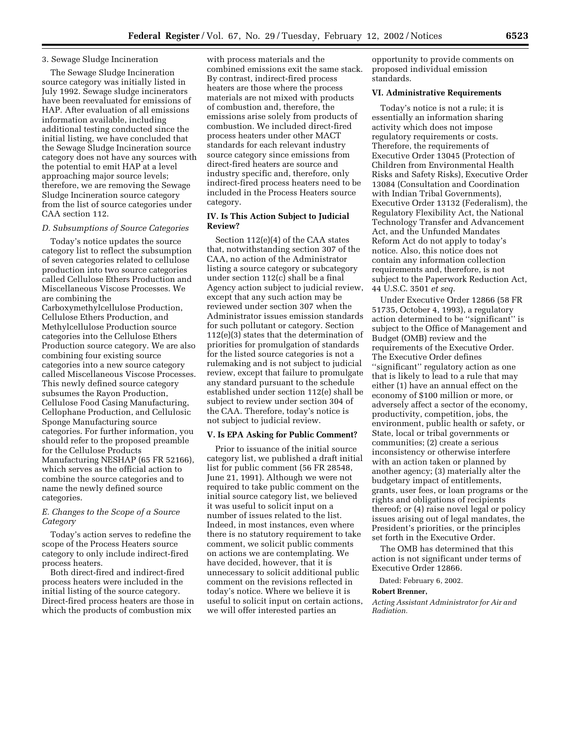### 3. Sewage Sludge Incineration

The Sewage Sludge Incineration source category was initially listed in July 1992. Sewage sludge incinerators have been reevaluated for emissions of HAP. After evaluation of all emissions information available, including additional testing conducted since the initial listing, we have concluded that the Sewage Sludge Incineration source category does not have any sources with the potential to emit HAP at a level approaching major source levels; therefore, we are removing the Sewage Sludge Incineration source category from the list of source categories under CAA section 112.

#### *D. Subsumptions of Source Categories*

Today's notice updates the source category list to reflect the subsumption of seven categories related to cellulose production into two source categories called Cellulose Ethers Production and Miscellaneous Viscose Processes. We are combining the Carboxymethylcellulose Production, Cellulose Ethers Production, and Methylcellulose Production source categories into the Cellulose Ethers Production source category. We are also combining four existing source categories into a new source category called Miscellaneous Viscose Processes. This newly defined source category subsumes the Rayon Production, Cellulose Food Casing Manufacturing, Cellophane Production, and Cellulosic Sponge Manufacturing source categories. For further information, you should refer to the proposed preamble for the Cellulose Products Manufacturing NESHAP (65 FR 52166), which serves as the official action to combine the source categories and to name the newly defined source categories.

### *E. Changes to the Scope of a Source Category*

Today's action serves to redefine the scope of the Process Heaters source category to only include indirect-fired process heaters.

Both direct-fired and indirect-fired process heaters were included in the initial listing of the source category. Direct-fired process heaters are those in which the products of combustion mix

with process materials and the combined emissions exit the same stack. By contrast, indirect-fired process heaters are those where the process materials are not mixed with products of combustion and, therefore, the emissions arise solely from products of combustion. We included direct-fired process heaters under other MACT standards for each relevant industry source category since emissions from direct-fired heaters are source and industry specific and, therefore, only indirect-fired process heaters need to be included in the Process Heaters source category.

### **IV. Is This Action Subject to Judicial Review?**

Section 112(e)(4) of the CAA states that, notwithstanding section 307 of the CAA, no action of the Administrator listing a source category or subcategory under section 112(c) shall be a final Agency action subject to judicial review, except that any such action may be reviewed under section 307 when the Administrator issues emission standards for such pollutant or category. Section 112(e)(3) states that the determination of priorities for promulgation of standards for the listed source categories is not a rulemaking and is not subject to judicial review, except that failure to promulgate any standard pursuant to the schedule established under section 112(e) shall be subject to review under section 304 of the CAA. Therefore, today's notice is not subject to judicial review.

### **V. Is EPA Asking for Public Comment?**

Prior to issuance of the initial source category list, we published a draft initial list for public comment (56 FR 28548, June 21, 1991). Although we were not required to take public comment on the initial source category list, we believed it was useful to solicit input on a number of issues related to the list. Indeed, in most instances, even where there is no statutory requirement to take comment, we solicit public comments on actions we are contemplating. We have decided, however, that it is unnecessary to solicit additional public comment on the revisions reflected in today's notice. Where we believe it is useful to solicit input on certain actions, we will offer interested parties an

opportunity to provide comments on proposed individual emission standards.

#### **VI. Administrative Requirements**

Today's notice is not a rule; it is essentially an information sharing activity which does not impose regulatory requirements or costs. Therefore, the requirements of Executive Order 13045 (Protection of Children from Environmental Health Risks and Safety Risks), Executive Order 13084 (Consultation and Coordination with Indian Tribal Governments), Executive Order 13132 (Federalism), the Regulatory Flexibility Act, the National Technology Transfer and Advancement Act, and the Unfunded Mandates Reform Act do not apply to today's notice. Also, this notice does not contain any information collection requirements and, therefore, is not subject to the Paperwork Reduction Act, 44 U.S.C. 3501 *et seq.*

Under Executive Order 12866 (58 FR 51735, October 4, 1993), a regulatory action determined to be ''significant'' is subject to the Office of Management and Budget (OMB) review and the requirements of the Executive Order. The Executive Order defines ''significant'' regulatory action as one that is likely to lead to a rule that may either (1) have an annual effect on the economy of \$100 million or more, or adversely affect a sector of the economy, productivity, competition, jobs, the environment, public health or safety, or State, local or tribal governments or communities; (2) create a serious inconsistency or otherwise interfere with an action taken or planned by another agency; (3) materially alter the budgetary impact of entitlements, grants, user fees, or loan programs or the rights and obligations of recipients thereof; or (4) raise novel legal or policy issues arising out of legal mandates, the President's priorities, or the principles set forth in the Executive Order.

The OMB has determined that this action is not significant under terms of Executive Order 12866.

Dated: February 6, 2002.

#### **Robert Brenner,**

*Acting Assistant Administrator for Air and Radiation.*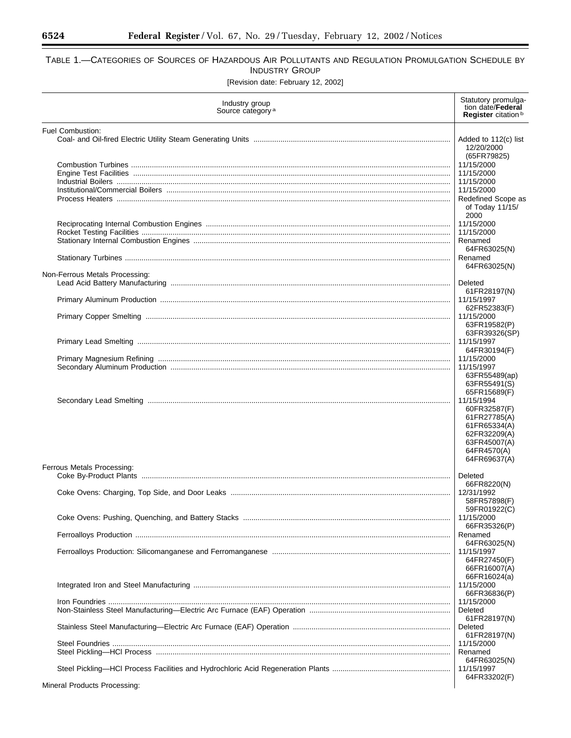$\equiv$ 

## TABLE 1.—CATEGORIES OF SOURCES OF HAZARDOUS AIR POLLUTANTS AND REGULATION PROMULGATION SCHEDULE BY INDUSTRY GROUP

[Revision date: February 12, 2002]

| Industry group<br>Source category <sup>a</sup> | Statutory promulga-<br>tion date/Federal<br>Register citation <sup>b</sup>                                                |
|------------------------------------------------|---------------------------------------------------------------------------------------------------------------------------|
| Fuel Combustion:                               | Added to 112(c) list<br>12/20/2000<br>(65FR79825)                                                                         |
|                                                | 11/15/2000<br>11/15/2000<br>11/15/2000                                                                                    |
|                                                | 11/15/2000<br>Redefined Scope as<br>of Today $11/15/$<br>2000                                                             |
|                                                | 11/15/2000<br>11/15/2000<br>Renamed                                                                                       |
|                                                | 64FR63025(N)<br>Renamed<br>64FR63025(N)                                                                                   |
| Non-Ferrous Metals Processing:                 | Deleted<br>61FR28197(N)                                                                                                   |
|                                                | 11/15/1997<br>62FR52383(F)<br>11/15/2000                                                                                  |
|                                                | 63FR19582(P)<br>63FR39326(SP)<br>11/15/1997                                                                               |
|                                                | 64FR30194(F)<br>11/15/2000<br>11/15/1997                                                                                  |
|                                                | 63FR55489(ap)<br>63FR55491(S)<br>65FR15689(F)                                                                             |
| Ferrous Metals Processing:                     | 11/15/1994<br>60FR32587(F)<br>61FR27785(A)<br>61FR65334(A)<br>62FR32209(A)<br>63FR45007(A)<br>64FR4570(A)<br>64FR69637(A) |
|                                                | Deleted<br>66FR8220(N)                                                                                                    |
|                                                | 12/31/1992<br>58FR57898(F)<br>59FR01922(C)                                                                                |
|                                                | 11/15/2000<br>66FR35326(P)                                                                                                |
|                                                | Renamed<br>64FR63025(N)<br>11/15/1997<br>64FR27450(F)                                                                     |
|                                                | 66FR16007(A)<br>66FR16024(a)<br>11/15/2000                                                                                |
|                                                | 66FR36836(P)<br>11/15/2000<br>Deleted                                                                                     |
|                                                | 61FR28197(N)<br>Deleted<br>61FR28197(N)                                                                                   |
|                                                | 11/15/2000<br>Renamed<br>64FR63025(N)                                                                                     |
|                                                | 11/15/1997<br>64FR33202(F)                                                                                                |
| Mineral Products Processing:                   |                                                                                                                           |

Mineral Products Processing: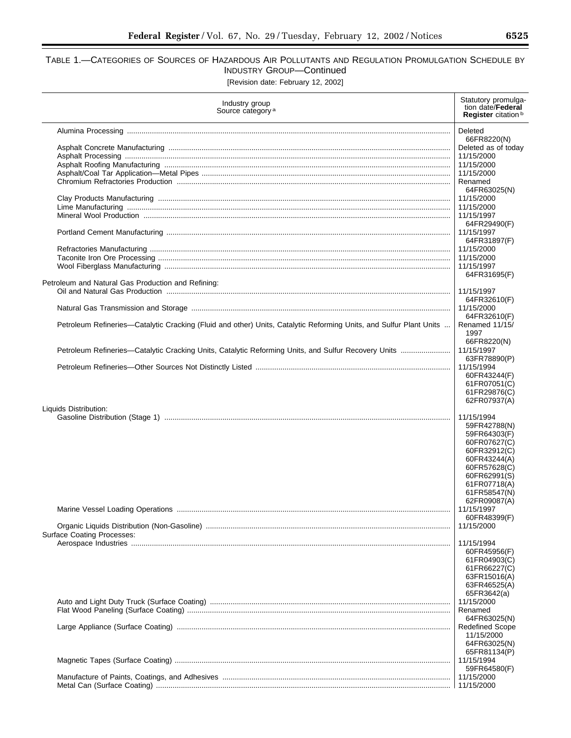## TABLE 1.—CATEGORIES OF SOURCES OF HAZARDOUS AIR POLLUTANTS AND REGULATION PROMULGATION SCHEDULE BY INDUSTRY GROUP—Continued [Revision date: February 12, 2002]

| Industry group<br>Source category <sup>a</sup>                                                                     | Statutory promulga-<br>tion date/ <b>Federal</b><br>Register citation <sup>b</sup> |
|--------------------------------------------------------------------------------------------------------------------|------------------------------------------------------------------------------------|
|                                                                                                                    | Deleted                                                                            |
|                                                                                                                    | 66FR8220(N)                                                                        |
|                                                                                                                    | Deleted as of today<br>11/15/2000                                                  |
|                                                                                                                    | 11/15/2000                                                                         |
|                                                                                                                    | 11/15/2000                                                                         |
|                                                                                                                    | Renamed                                                                            |
|                                                                                                                    | 64FR63025(N)                                                                       |
|                                                                                                                    | 11/15/2000<br>11/15/2000                                                           |
|                                                                                                                    | 11/15/1997                                                                         |
|                                                                                                                    | 64FR29490(F)                                                                       |
|                                                                                                                    | 11/15/1997                                                                         |
|                                                                                                                    | 64FR31897(F)                                                                       |
|                                                                                                                    | 11/15/2000<br>11/15/2000                                                           |
|                                                                                                                    | 11/15/1997                                                                         |
|                                                                                                                    | 64FR31695(F)                                                                       |
| Petroleum and Natural Gas Production and Refining:                                                                 |                                                                                    |
|                                                                                                                    | 11/15/1997<br>64FR32610(F)                                                         |
|                                                                                                                    | 11/15/2000                                                                         |
|                                                                                                                    | 64FR32610(F)                                                                       |
| Petroleum Refineries-Catalytic Cracking (Fluid and other) Units, Catalytic Reforming Units, and Sulfur Plant Units | Renamed 11/15/                                                                     |
|                                                                                                                    | 1997                                                                               |
| Petroleum Refineries-Catalytic Cracking Units, Catalytic Reforming Units, and Sulfur Recovery Units                | 66FR8220(N)<br>11/15/1997                                                          |
|                                                                                                                    | 63FR78890(P)                                                                       |
|                                                                                                                    | 11/15/1994                                                                         |
|                                                                                                                    | 60FR43244(F)                                                                       |
|                                                                                                                    | 61FR07051(C)                                                                       |
|                                                                                                                    | 61FR29876(C)<br>62FR07937(A)                                                       |
| Liquids Distribution:                                                                                              |                                                                                    |
|                                                                                                                    | 11/15/1994                                                                         |
|                                                                                                                    | 59FR42788(N)                                                                       |
|                                                                                                                    | 59FR64303(F)<br>60FR07627(C)                                                       |
|                                                                                                                    | 60FR32912(C)                                                                       |
|                                                                                                                    | 60FR43244(A)                                                                       |
|                                                                                                                    | 60FR57628(C)                                                                       |
|                                                                                                                    | 60FR62991(S)                                                                       |
|                                                                                                                    | 61FR07718(A)<br>61FR58547(N)                                                       |
|                                                                                                                    | 62FR09087(A)                                                                       |
|                                                                                                                    | 11/15/1997                                                                         |
|                                                                                                                    | 60FR48399(F)                                                                       |
| <b>Surface Coating Processes:</b>                                                                                  | 11/15/2000                                                                         |
|                                                                                                                    | 11/15/1994                                                                         |
|                                                                                                                    | 60FR45956(F)                                                                       |
|                                                                                                                    | 61FR04903(C)                                                                       |
|                                                                                                                    | 61FR66227(C)<br>63FR15016(A)                                                       |
|                                                                                                                    | 63FR46525(A)                                                                       |
|                                                                                                                    | 65FR3642(a)                                                                        |
|                                                                                                                    | 11/15/2000                                                                         |
|                                                                                                                    | Renamed                                                                            |
|                                                                                                                    | 64FR63025(N)<br><b>Redefined Scope</b>                                             |
|                                                                                                                    | 11/15/2000                                                                         |
|                                                                                                                    | 64FR63025(N)                                                                       |
|                                                                                                                    | 65FR81134(P)                                                                       |
|                                                                                                                    | 11/15/1994<br>59FR64580(F)                                                         |
|                                                                                                                    | 11/15/2000                                                                         |
|                                                                                                                    |                                                                                    |
|                                                                                                                    |                                                                                    |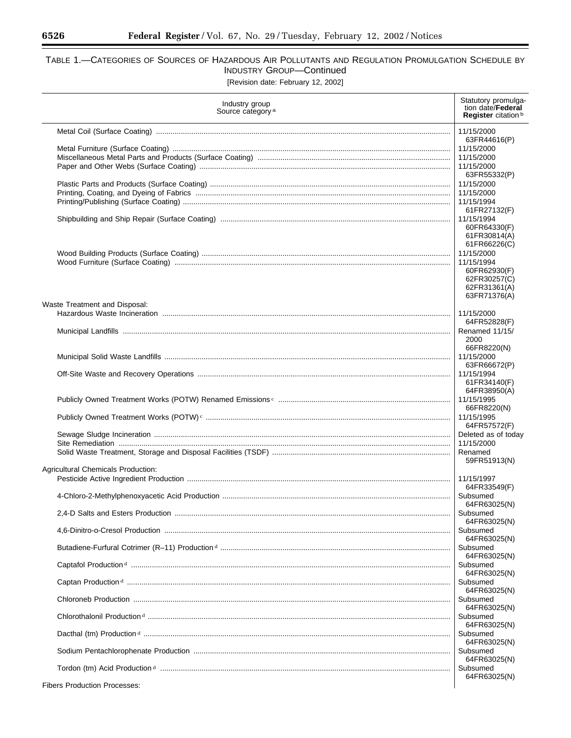e.

# TABLE 1.—CATEGORIES OF SOURCES OF HAZARDOUS AIR POLLUTANTS AND REGULATION PROMULGATION SCHEDULE BY INDUSTRY GROUP—Continued

[Revision date: February 12, 2002]

| Industry group<br>Source category <sup>a</sup> | Statutory promulga-<br>tion date/Federal<br>Register citation <sup>b</sup>                               |
|------------------------------------------------|----------------------------------------------------------------------------------------------------------|
|                                                | 11/15/2000                                                                                               |
|                                                | 63FR44616(P)<br>11/15/2000<br>11/15/2000<br>11/15/2000                                                   |
|                                                | 63FR55332(P)<br>11/15/2000<br>11/15/2000<br>11/15/1994                                                   |
|                                                | 61FR27132(F)<br>11/15/1994<br>60FR64330(F)<br>61FR30814(A)                                               |
|                                                | 61FR66226(C)<br>11/15/2000<br>11/15/1994<br>60FR62930(F)<br>62FR30257(C)<br>62FR31361(A)<br>63FR71376(A) |
| Waste Treatment and Disposal:                  | 11/15/2000                                                                                               |
|                                                | 64FR52828(F)<br>Renamed 11/15/<br>2000                                                                   |
|                                                | 66FR8220(N)<br>11/15/2000<br>63FR66672(P)                                                                |
|                                                | 11/15/1994<br>61FR34140(F)                                                                               |
|                                                | 64FR38950(A)<br>11/15/1995<br>66FR8220(N)                                                                |
|                                                | 11/15/1995<br>64FR57572(F)                                                                               |
|                                                | Deleted as of today<br>11/15/2000                                                                        |
| Agricultural Chemicals Production:             | Renamed<br>59FR51913(N)                                                                                  |
|                                                | 11/15/1997<br>64FR33549(F)                                                                               |
|                                                | Subsumed<br>64FR63025(N)                                                                                 |
|                                                | Subsumed<br>64FR63025(N)<br>Subsumed                                                                     |
|                                                | 64FR63025(N)<br>Subsumed                                                                                 |
|                                                | 64FR63025(N)<br>Subsumed                                                                                 |
|                                                | 64FR63025(N)<br>Subsumed<br>64FR63025(N)                                                                 |
|                                                | Subsumed                                                                                                 |
|                                                | 64FR63025(N)<br>Subsumed<br>64FR63025(N)                                                                 |
|                                                | Subsumed                                                                                                 |
|                                                | 64FR63025(N)<br>Subsumed<br>64FR63025(N)                                                                 |
|                                                | Subsumed<br>64FR63025(N)                                                                                 |
| <b>Fibers Production Processes:</b>            |                                                                                                          |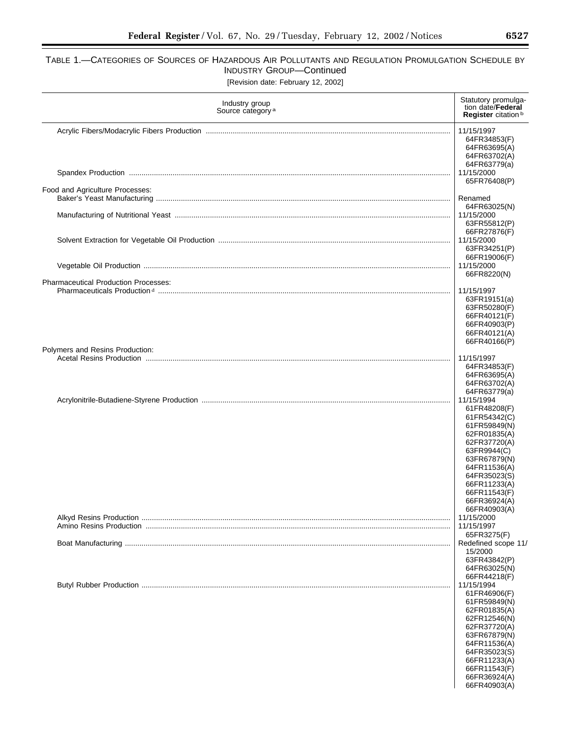# TABLE 1.—CATEGORIES OF SOURCES OF HAZARDOUS AIR POLLUTANTS AND REGULATION PROMULGATION SCHEDULE BY INDUSTRY GROUP—Continued

| [Revision date: February 12, 2002] |  |  |  |
|------------------------------------|--|--|--|
|------------------------------------|--|--|--|

| Industry group<br>Source category <sup>a</sup> | Statutory promulga-<br>tion date/Federal<br>Register citation <sup>b</sup>                                                                                                                                                 |
|------------------------------------------------|----------------------------------------------------------------------------------------------------------------------------------------------------------------------------------------------------------------------------|
|                                                | 11/15/1997<br>64FR34853(F)<br>64FR63695(A)<br>64FR63702(A)<br>64FR63779(a)<br>11/15/2000<br>65FR76408(P)                                                                                                                   |
| Food and Agriculture Processes:                | Renamed                                                                                                                                                                                                                    |
|                                                | 64FR63025(N)<br>11/15/2000<br>63FR55812(P)                                                                                                                                                                                 |
|                                                | 66FR27876(F)<br>11/15/2000<br>63FR34251(P)<br>66FR19006(F)                                                                                                                                                                 |
|                                                | 11/15/2000<br>66FR8220(N)                                                                                                                                                                                                  |
| <b>Pharmaceutical Production Processes:</b>    | 11/15/1997<br>63FR19151(a)<br>63FR50280(F)<br>66FR40121(F)<br>66FR40903(P)<br>66FR40121(A)<br>66FR40166(P)                                                                                                                 |
| Polymers and Resins Production:                | 11/15/1997                                                                                                                                                                                                                 |
|                                                | 64FR34853(F)<br>64FR63695(A)<br>64FR63702(A)<br>64FR63779(a)                                                                                                                                                               |
|                                                | 11/15/1994<br>61FR48208(F)<br>61FR54342(C)<br>61FR59849(N)<br>62FR01835(A)<br>62FR37720(A)<br>63FR9944(C)<br>63FR67879(N)<br>64FR11536(A)<br>64FR35023(S)<br>66FR11233(A)<br>66FR11543(F)<br>66FR36924(A)<br>66FR40903(A)  |
|                                                | 11/15/2000<br>11/15/1997                                                                                                                                                                                                   |
|                                                | 65FR3275(F)<br>Redefined scope 11/<br>15/2000<br>63FR43842(P)<br>64FR63025(N)                                                                                                                                              |
|                                                | 66FR44218(F)<br>11/15/1994<br>61FR46906(F)<br>61FR59849(N)<br>62FR01835(A)<br>62FR12546(N)<br>62FR37720(A)<br>63FR67879(N)<br>64FR11536(A)<br>64FR35023(S)<br>66FR11233(A)<br>66FR11543(F)<br>66FR36924(A)<br>66FR40903(A) |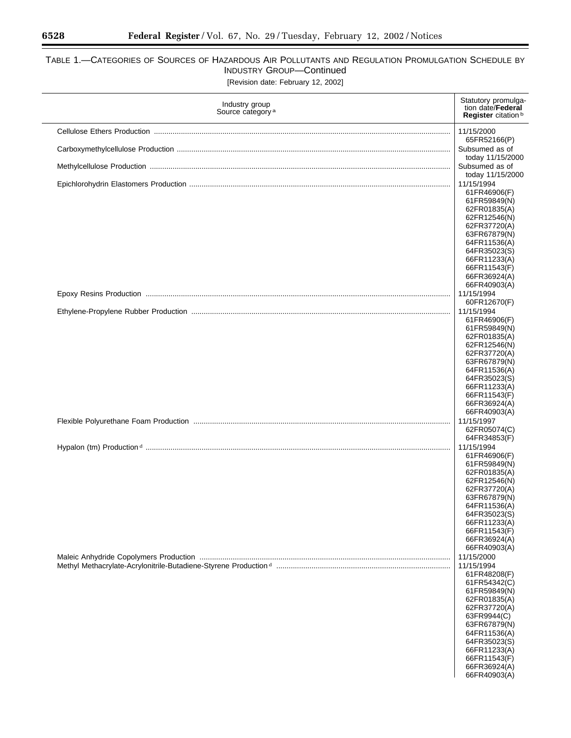$\equiv$ 

# TABLE 1.—CATEGORIES OF SOURCES OF HAZARDOUS AIR POLLUTANTS AND REGULATION PROMULGATION SCHEDULE BY INDUSTRY GROUP—Continued

|  |  | [Revision date: February 12, 2002] |  |  |
|--|--|------------------------------------|--|--|
|--|--|------------------------------------|--|--|

| Industry group<br>Source category <sup>a</sup> | Statutory promulga-<br>tion date/Federal<br>Register citation <sup>b</sup> |
|------------------------------------------------|----------------------------------------------------------------------------|
|                                                | 11/15/2000                                                                 |
|                                                | 65FR52166(P)<br>Subsumed as of                                             |
|                                                | today 11/15/2000                                                           |
|                                                | Subsumed as of<br>today 11/15/2000                                         |
|                                                | 11/15/1994                                                                 |
|                                                | 61FR46906(F)<br>61FR59849(N)                                               |
|                                                | 62FR01835(A)                                                               |
|                                                | 62FR12546(N)                                                               |
|                                                | 62FR37720(A)<br>63FR67879(N)                                               |
|                                                | 64FR11536(A)                                                               |
|                                                | 64FR35023(S)<br>66FR11233(A)                                               |
|                                                | 66FR11543(F)                                                               |
|                                                | 66FR36924(A)<br>66FR40903(A)                                               |
|                                                | 11/15/1994                                                                 |
|                                                | 60FR12670(F)                                                               |
|                                                | 11/15/1994<br>61FR46906(F)                                                 |
|                                                | 61FR59849(N)                                                               |
|                                                | 62FR01835(A)<br>62FR12546(N)                                               |
|                                                | 62FR37720(A)                                                               |
|                                                | 63FR67879(N)<br>64FR11536(A)                                               |
|                                                | 64FR35023(S)                                                               |
|                                                | 66FR11233(A)                                                               |
|                                                | 66FR11543(F)<br>66FR36924(A)                                               |
|                                                | 66FR40903(A)                                                               |
|                                                | 11/15/1997<br>62FR05074(C)                                                 |
|                                                | 64FR34853(F)                                                               |
|                                                | 11/15/1994<br>61FR46906(F)                                                 |
|                                                | 61FR59849(N)                                                               |
|                                                | 62FR01835(A)                                                               |
|                                                | 62FR12546(N)<br>62FR37720(A)                                               |
|                                                | 63FR67879(N)                                                               |
|                                                | 64FR11536(A)<br>64FR35023(S)                                               |
|                                                | 66FR11233(A)                                                               |
|                                                | 66FR11543(F)<br>66FR36924(A)                                               |
|                                                | 66FR40903(A)                                                               |
|                                                | 11/15/2000<br>11/15/1994                                                   |
|                                                | 61FR48208(F)                                                               |
|                                                | 61FR54342(C)                                                               |
|                                                | 61FR59849(N)<br>62FR01835(A)                                               |
|                                                | 62FR37720(A)                                                               |
|                                                | 63FR9944(C)<br>63FR67879(N)                                                |
|                                                | 64FR11536(A)                                                               |
|                                                | 64FR35023(S)<br>66FR11233(A)                                               |
|                                                | 66FR11543(F)                                                               |
|                                                | 66FR36924(A)<br>66FR40903(A)                                               |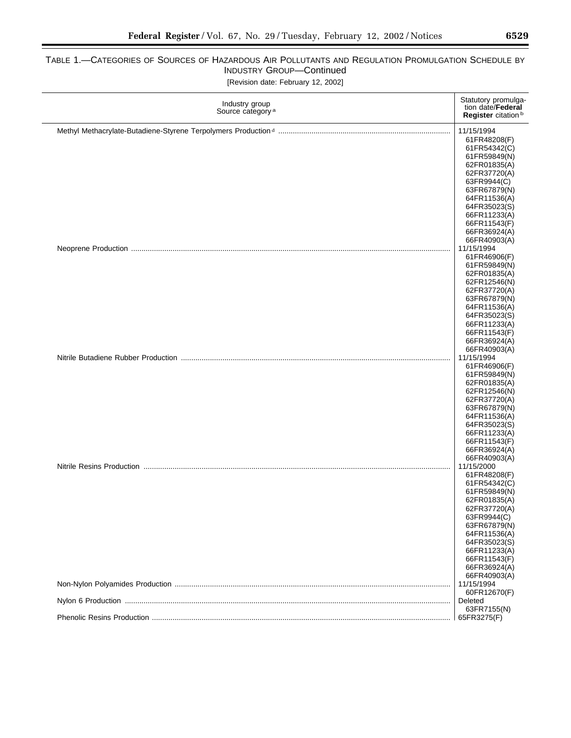# TABLE 1.—CATEGORIES OF SOURCES OF HAZARDOUS AIR POLLUTANTS AND REGULATION PROMULGATION SCHEDULE BY INDUSTRY GROUP—Continued

[Revision date: February 12, 2002]

| Industry group<br>Source category <sup>a</sup> | Statutory promulga-<br>tion date/Federal<br>Register citation <sup>b</sup> |
|------------------------------------------------|----------------------------------------------------------------------------|
|                                                | 11/15/1994<br>61FR48208(F)                                                 |
|                                                | 61FR54342(C)                                                               |
|                                                | 61FR59849(N)<br>62FR01835(A)                                               |
|                                                | 62FR37720(A)                                                               |
|                                                | 63FR9944(C)                                                                |
|                                                | 63FR67879(N)                                                               |
|                                                | 64FR11536(A)                                                               |
|                                                | 64FR35023(S)                                                               |
|                                                | 66FR11233(A)                                                               |
|                                                | 66FR11543(F)                                                               |
|                                                | 66FR36924(A)                                                               |
|                                                | 66FR40903(A)                                                               |
|                                                | 11/15/1994                                                                 |
|                                                | 61FR46906(F)                                                               |
|                                                | 61FR59849(N)                                                               |
|                                                | 62FR01835(A)                                                               |
|                                                | 62FR12546(N)<br>62FR37720(A)                                               |
|                                                | 63FR67879(N)                                                               |
|                                                | 64FR11536(A)                                                               |
|                                                | 64FR35023(S)                                                               |
|                                                | 66FR11233(A)                                                               |
|                                                | 66FR11543(F)                                                               |
|                                                | 66FR36924(A)                                                               |
|                                                | 66FR40903(A)                                                               |
|                                                | 11/15/1994                                                                 |
|                                                | 61FR46906(F)                                                               |
|                                                | 61FR59849(N)                                                               |
|                                                | 62FR01835(A)                                                               |
|                                                | 62FR12546(N)                                                               |
|                                                | 62FR37720(A)                                                               |
|                                                | 63FR67879(N)                                                               |
|                                                | 64FR11536(A)<br>64FR35023(S)                                               |
|                                                | 66FR11233(A)                                                               |
|                                                | 66FR11543(F)                                                               |
|                                                | 66FR36924(A)                                                               |
|                                                | 66FR40903(A)                                                               |
|                                                | 11/15/2000                                                                 |
|                                                | 61FR48208(F)                                                               |
|                                                | 61FR54342(C)                                                               |
|                                                | 61FR59849(N)                                                               |
|                                                | 62FR01835(A)                                                               |
|                                                | 62FR37720(A)                                                               |
|                                                | 63FR9944(C)<br>63FR67879(N)                                                |
|                                                | 64FR11536(A)                                                               |
|                                                | 64FR35023(S)                                                               |
|                                                | 66FR11233(A)                                                               |
|                                                | 66FR11543(F)                                                               |
|                                                | 66FR36924(A)                                                               |
|                                                | 66FR40903(A)                                                               |
|                                                | 11/15/1994                                                                 |
|                                                | 60FR12670(F)                                                               |
|                                                | Deleted                                                                    |
|                                                | 63FR7155(N)                                                                |
|                                                | 65FR3275(F)                                                                |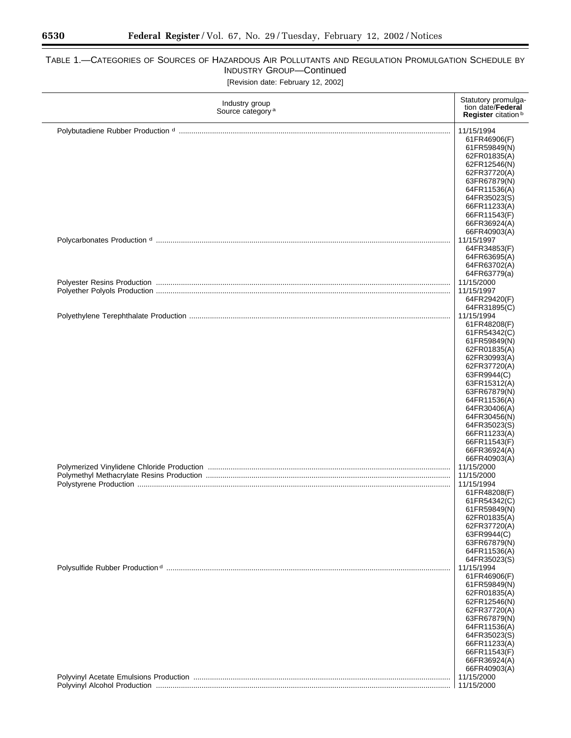۰

# TABLE 1.—CATEGORIES OF SOURCES OF HAZARDOUS AIR POLLUTANTS AND REGULATION PROMULGATION SCHEDULE BY INDUSTRY GROUP—Continued

[Revision date: February 12, 2002]

| Industry group<br>Source category <sup>a</sup> | Statutory promulga-<br>tion date/Federal<br>Register citation <sup>b</sup> |
|------------------------------------------------|----------------------------------------------------------------------------|
|                                                |                                                                            |
|                                                | 11/15/1994<br>61FR46906(F)                                                 |
|                                                | 61FR59849(N)                                                               |
|                                                | 62FR01835(A)                                                               |
|                                                | 62FR12546(N)                                                               |
|                                                | 62FR37720(A)                                                               |
|                                                | 63FR67879(N)                                                               |
|                                                | 64FR11536(A)                                                               |
|                                                | 64FR35023(S)                                                               |
|                                                | 66FR11233(A)                                                               |
|                                                | 66FR11543(F)<br>66FR36924(A)                                               |
|                                                | 66FR40903(A)                                                               |
|                                                | 11/15/1997                                                                 |
|                                                | 64FR34853(F)                                                               |
|                                                | 64FR63695(A)                                                               |
|                                                | 64FR63702(A)                                                               |
|                                                | 64FR63779(a)                                                               |
|                                                | 11/15/2000                                                                 |
|                                                | 11/15/1997                                                                 |
|                                                | 64FR29420(F)                                                               |
|                                                | 64FR31895(C)<br>11/15/1994                                                 |
|                                                | 61FR48208(F)                                                               |
|                                                | 61FR54342(C)                                                               |
|                                                | 61FR59849(N)                                                               |
|                                                | 62FR01835(A)                                                               |
|                                                | 62FR30993(A)                                                               |
|                                                | 62FR37720(A)                                                               |
|                                                | 63FR9944(C)                                                                |
|                                                | 63FR15312(A)<br>63FR67879(N)                                               |
|                                                | 64FR11536(A)                                                               |
|                                                | 64FR30406(A)                                                               |
|                                                | 64FR30456(N)                                                               |
|                                                | 64FR35023(S)                                                               |
|                                                | 66FR11233(A)                                                               |
|                                                | 66FR11543(F)<br>66FR36924(A)                                               |
|                                                | 66FR40903(A)                                                               |
|                                                | 11/15/2000                                                                 |
|                                                | 11/15/2000                                                                 |
|                                                | 11/15/1994                                                                 |
|                                                | 61FR48208(F)                                                               |
|                                                | 61FR54342(C)                                                               |
|                                                | 61FR59849(N)                                                               |
|                                                | 62FR01835(A)<br>62FR37720(A)                                               |
|                                                | 63FR9944(C)                                                                |
|                                                | 63FR67879(N)                                                               |
|                                                | 64FR11536(A)                                                               |
|                                                | 64FR35023(S)                                                               |
|                                                | 11/15/1994                                                                 |
|                                                | 61FR46906(F)                                                               |
|                                                | 61FR59849(N)<br>62FR01835(A)                                               |
|                                                | 62FR12546(N)                                                               |
|                                                | 62FR37720(A)                                                               |
|                                                | 63FR67879(N)                                                               |
|                                                | 64FR11536(A)                                                               |
|                                                | 64FR35023(S)                                                               |
|                                                | 66FR11233(A)                                                               |
|                                                | 66FR11543(F)<br>66FR36924(A)                                               |
|                                                | 66FR40903(A)                                                               |
|                                                | 11/15/2000                                                                 |
|                                                | 11/15/2000                                                                 |

 $\equiv$ 

 $\overline{a}$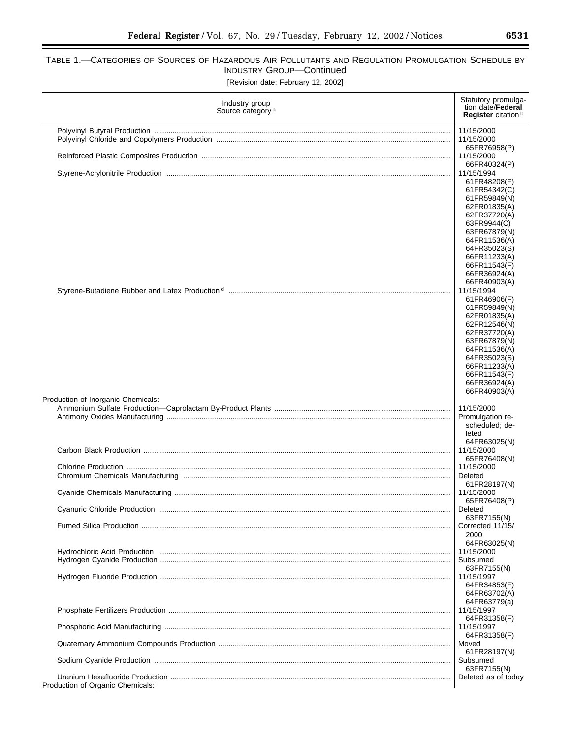### TABLE 1.—CATEGORIES OF SOURCES OF HAZARDOUS AIR POLLUTANTS AND REGULATION PROMULGATION SCHEDULE BY INDUSTRY GROUP—Continued [Revision date: February 12, 2002]

Industry group<br>Source category<sup>a</sup> Statutory promulgation date/**Federal Register** citation b Polyvinyl Butyral Production ............................................................................................................................................... 11/15/2000 Polyvinyl Chloride and Copolymers Production ................................................................................................................. 11/15/2000 65FR76958(P) Reinforced Plastic Composites Production ........................................................................................................................ 11/15/2000 66FR40324(P) Styrene-Acrylonitrile Production ......................................................................................................................................... 11/15/1994 61FR48208(F) 61FR54342(C) 61FR59849(N) 62FR01835(A) 62FR37720(A) 63FR9944(C) 63FR67879(N) 64FR11536(A) 64FR35023(S) 66FR11233(A) 66FR11543(F) 66FR36924(A) 66FR40903(A)<br>11/15/1994 Styrene-Butadiene Rubber and Latex Production d ........................................................................................................... 11/15/1994 61FR46906(F) 61FR59849(N) 62FR01835(A) 62FR12546(N) 62FR37720(A) 63FR67879(N) 64FR11536(A) 64FR35023(S) 66FR11233(A) 66FR11543(F) 66FR36924(A) 66FR40903(A) Production of Inorganic Chemicals: Ammonium Sulfate Production—Caprolactam By-Product Plants ..................................................................................... 11/15/2000 Antimony Oxides Manufacturing ......................................................................................................................................... Promulgation rescheduled; deleted 64FR63025(N)<br>11/15/2000 Carbon Black Production .................................................................................................................................................... 11/15/2000 65FR76408(N)<br>11/15/2000 Chlorine Production ............................................................................................................................................................ 11/15/2000 Chromium Chemicals Manufacturing ................................................................................................................................. Deleted 61FR28197(N) Cyanide Chemicals Manufacturing ..................................................................................................................................... 11/15/2000 65FR76408(P) Cyanuric Chloride Production ............................................................................................................................................. Deleted 63FR7155(N) Fumed Silica Production ..................................................................................................................................................... Corrected 11/15/ 2000 64FR63025(N) Hydrochloric Acid Production ............................................................................................................................................. 11/15/2000 Hydrogen Cyanide Production ............................................................................................................................................ Subsumed 63FR7155(N) Hydrogen Fluoride Production ............................................................................................................................................ 11/15/1997 64FR34853(F) 64FR63702(A) 64FR63779(a) Phosphate Fertilizers Production ........................................................................................................................................ 11/15/1997 64FR31358(F) Phosphoric Acid Manufacturing .......................................................................................................................................... 11/15/1997 64FR31358(F) Quaternary Ammonium Compounds Production ................................................................................................................ Moved 61FR28197(N) Sodium Cyanide Production ............................................................................................................................................... Subsumed 63FR7155(N) Uranium Hexafluoride Production ....................................................................................................................................... Deleted as of today Production of Organic Chemicals: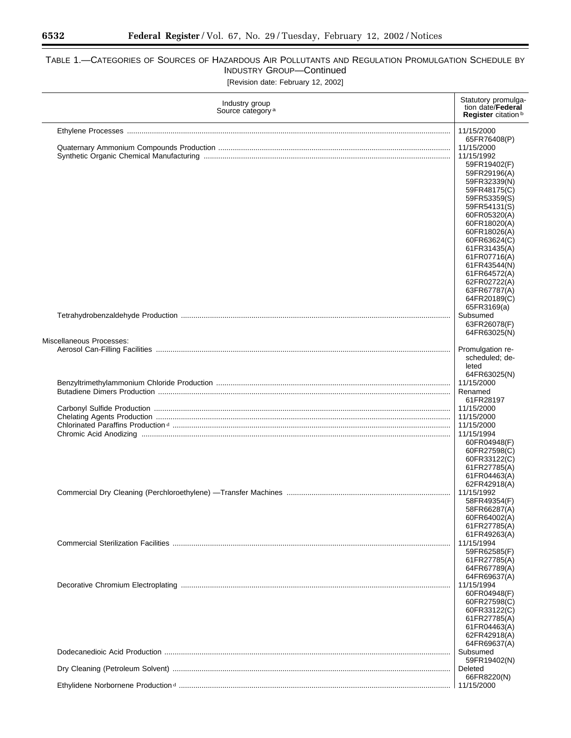Ξ

# TABLE 1.—CATEGORIES OF SOURCES OF HAZARDOUS AIR POLLUTANTS AND REGULATION PROMULGATION SCHEDULE BY INDUSTRY GROUP—Continued

[Revision date: February 12, 2002]

| Industry group<br>Source category <sup>a</sup>                                          | Statutory promulga-<br>tion date/Federal<br>Register citation <sup>b</sup>                                                                                                                   |
|-----------------------------------------------------------------------------------------|----------------------------------------------------------------------------------------------------------------------------------------------------------------------------------------------|
|                                                                                         | 11/15/2000<br>65FR76408(P)<br>11/15/2000<br>11/15/1992<br>59FR19402(F)<br>59FR29196(A)<br>59FR32339(N)<br>59FR48175(C)<br>59FR53359(S)                                                       |
|                                                                                         | 59FR54131(S)<br>60FR05320(A)<br>60FR18020(A)<br>60FR18026(A)<br>60FR63624(C)<br>61FR31435(A)<br>61FR07716(A)<br>61FR43544(N)<br>61FR64572(A)<br>62FR02722(A)<br>63FR67787(A)<br>64FR20189(C) |
|                                                                                         | 65FR3169(a)<br>Subsumed<br>63FR26078(F)<br>64FR63025(N)                                                                                                                                      |
| Miscellaneous Processes:                                                                |                                                                                                                                                                                              |
|                                                                                         | Promulgation re-<br>scheduled; de-<br>leted                                                                                                                                                  |
|                                                                                         | 64FR63025(N)<br>11/15/2000<br>Renamed<br>61FR28197                                                                                                                                           |
|                                                                                         | 11/15/2000<br>11/15/2000                                                                                                                                                                     |
|                                                                                         | 11/15/2000<br>11/15/1994<br>60FR04948(F)<br>60FR27598(C)<br>60FR33122(C)<br>61FR27785(A)<br>61FR04463(A)                                                                                     |
| Commercial Dry Cleaning (Perchloroethylene) —Transfer Machines ……………………………………………………………… | 62FR42918(A)<br>11/15/1992<br>58FR49354(F)<br>58FR66287(A)<br>60FR64002(A)<br>61FR27785(A)<br>61FR49263(A)                                                                                   |
|                                                                                         | 11/15/1994<br>59FR62585(F)<br>61FR27785(A)<br>64FR67789(A)                                                                                                                                   |
|                                                                                         | 64FR69637(A)<br>11/15/1994<br>60FR04948(F)<br>60FR27598(C)<br>60FR33122(C)<br>61FR27785(A)<br>61FR04463(A)<br>62FR42918(A)                                                                   |
|                                                                                         | 64FR69637(A)<br>Subsumed<br>59FR19402(N)                                                                                                                                                     |
|                                                                                         | Deleted<br>66FR8220(N)                                                                                                                                                                       |
|                                                                                         | 11/15/2000                                                                                                                                                                                   |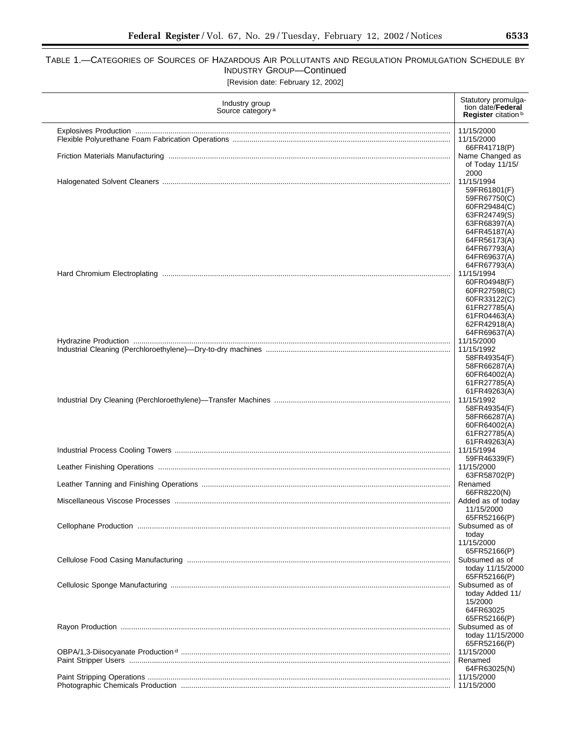## TABLE 1.—CATEGORIES OF SOURCES OF HAZARDOUS AIR POLLUTANTS AND REGULATION PROMULGATION SCHEDULE BY INDUSTRY GROUP—Continued [Revision date: February 12, 2002]

| Industry group<br>Source category <sup>a</sup> | Statutory promulga-<br>tion date/ <b>Federal</b><br>Register citation <sup>b</sup> |
|------------------------------------------------|------------------------------------------------------------------------------------|
|                                                | 11/15/2000                                                                         |
|                                                | 11/15/2000                                                                         |
|                                                | 66FR41718(P)                                                                       |
|                                                | Name Changed as                                                                    |
|                                                | of Today 11/15/                                                                    |
|                                                | 2000                                                                               |
|                                                | 11/15/1994                                                                         |
|                                                | 59FR61801(F)                                                                       |
|                                                | 59FR67750(C)<br>60FR29484(C)                                                       |
|                                                | 63FR24749(S)                                                                       |
|                                                | 63FR68397(A)                                                                       |
|                                                | 64FR45187(A)                                                                       |
|                                                | 64FR56173(A)                                                                       |
|                                                | 64FR67793(A)                                                                       |
|                                                | 64FR69637(A)                                                                       |
|                                                | 64FR67793(A)                                                                       |
|                                                | 11/15/1994                                                                         |
|                                                | 60FR04948(F)<br>60FR27598(C)                                                       |
|                                                | 60FR33122(C)                                                                       |
|                                                | 61FR27785(A)                                                                       |
|                                                | 61FR04463(A)                                                                       |
|                                                | 62FR42918(A)                                                                       |
|                                                | 64FR69637(A)                                                                       |
|                                                | 11/15/2000                                                                         |
|                                                | 11/15/1992                                                                         |
|                                                | 58FR49354(F)<br>58FR66287(A)                                                       |
|                                                | 60FR64002(A)                                                                       |
|                                                | 61FR27785(A)                                                                       |
|                                                | 61FR49263(A)                                                                       |
|                                                | 11/15/1992                                                                         |
|                                                | 58FR49354(F)                                                                       |
|                                                | 58FR66287(A)                                                                       |
|                                                | 60FR64002(A)                                                                       |
|                                                | 61FR27785(A)<br>61FR49263(A)                                                       |
|                                                | 11/15/1994                                                                         |
|                                                | 59FR46339(F)                                                                       |
|                                                | 11/15/2000                                                                         |
|                                                | 63FR58702(P)                                                                       |
|                                                | Renamed                                                                            |
|                                                | 66FR8220(N)<br>Added as of today                                                   |
|                                                | 11/15/2000                                                                         |
|                                                | 65FR52166(P)                                                                       |
|                                                | Subsumed as of                                                                     |
|                                                | today                                                                              |
|                                                | 11/15/2000                                                                         |
|                                                | 65FR52166(P)                                                                       |
|                                                | Subsumed as of                                                                     |
|                                                | today 11/15/2000<br>65FR52166(P)                                                   |
|                                                | Subsumed as of                                                                     |
|                                                | today Added 11/                                                                    |
|                                                | 15/2000                                                                            |
|                                                | 64FR63025                                                                          |
|                                                | 65FR52166(P)                                                                       |
|                                                | Subsumed as of                                                                     |
|                                                | today 11/15/2000                                                                   |
|                                                | 65FR52166(P)                                                                       |
|                                                | 11/15/2000<br>Renamed                                                              |
|                                                | 64FR63025(N)                                                                       |
|                                                | 11/15/2000                                                                         |
|                                                | 11/15/2000                                                                         |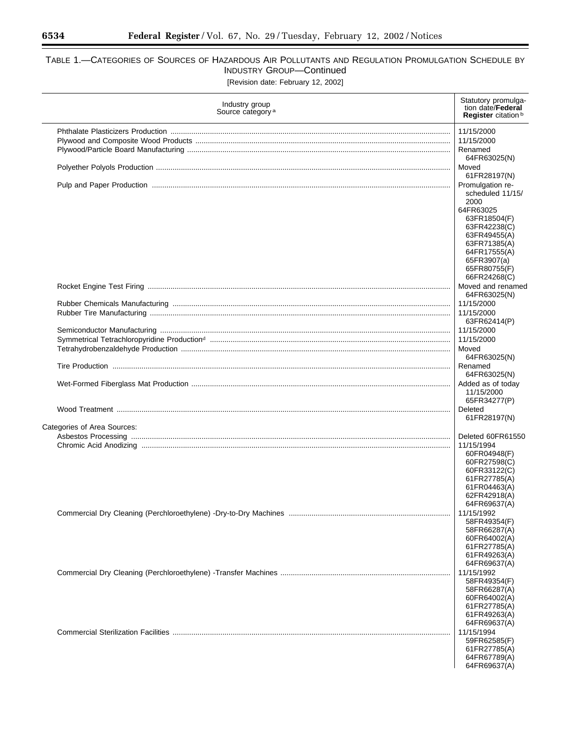# TABLE 1.—CATEGORIES OF SOURCES OF HAZARDOUS AIR POLLUTANTS AND REGULATION PROMULGATION SCHEDULE BY INDUSTRY GROUP—Continued

[Revision date: February 12, 2002]

| Industry group<br>Source category <sup>a</sup> | Statutory promulga-<br>tion date/Federal<br>Register citation <sup>b</sup> |
|------------------------------------------------|----------------------------------------------------------------------------|
|                                                | 11/15/2000                                                                 |
|                                                | 11/15/2000                                                                 |
|                                                | Renamed<br>64FR63025(N)                                                    |
|                                                | Moved                                                                      |
|                                                | 61FR28197(N)<br>Promulgation re-                                           |
|                                                | scheduled 11/15/                                                           |
|                                                | 2000                                                                       |
|                                                | 64FR63025                                                                  |
|                                                | 63FR18504(F)<br>63FR42238(C)                                               |
|                                                | 63FR49455(A)                                                               |
|                                                | 63FR71385(A)                                                               |
|                                                | 64FR17555(A)                                                               |
|                                                | 65FR3907(a)<br>65FR80755(F)                                                |
|                                                | 66FR24268(C)                                                               |
|                                                | Moved and renamed                                                          |
|                                                | 64FR63025(N)                                                               |
|                                                | 11/15/2000                                                                 |
|                                                | 11/15/2000<br>63FR62414(P)                                                 |
|                                                | 11/15/2000                                                                 |
|                                                | 11/15/2000                                                                 |
|                                                | Moved                                                                      |
|                                                | 64FR63025(N)<br>Renamed                                                    |
|                                                | 64FR63025(N)                                                               |
|                                                | Added as of today                                                          |
|                                                | 11/15/2000                                                                 |
|                                                | 65FR34277(P)<br>Deleted                                                    |
|                                                | 61FR28197(N)                                                               |
| Categories of Area Sources:                    |                                                                            |
|                                                | Deleted 60FR61550                                                          |
|                                                | 11/15/1994<br>60FR04948(F)                                                 |
|                                                | 60FR27598(C)                                                               |
|                                                | 60FR33122(C)                                                               |
|                                                | 61FR27785(A)                                                               |
|                                                | 61FR04463(A)<br>62FR42918(A)                                               |
|                                                | 64FR69637(A)                                                               |
|                                                | 11/15/1992                                                                 |
|                                                | 58FR49354(F)                                                               |
|                                                | 58FR66287(A)<br>60FR64002(A)                                               |
|                                                | 61FR27785(A)                                                               |
|                                                | 61FR49263(A)                                                               |
|                                                | 64FR69637(A)                                                               |
|                                                | 11/15/1992<br>58FR49354(F)                                                 |
|                                                | 58FR66287(A)                                                               |
|                                                | 60FR64002(A)                                                               |
|                                                | 61FR27785(A)                                                               |
|                                                | 61FR49263(A)<br>64FR69637(A)                                               |
|                                                | 11/15/1994                                                                 |
|                                                | 59FR62585(F)                                                               |
|                                                | 61FR27785(A)                                                               |
|                                                | 64FR67789(A)                                                               |
|                                                | 64FR69637(A)                                                               |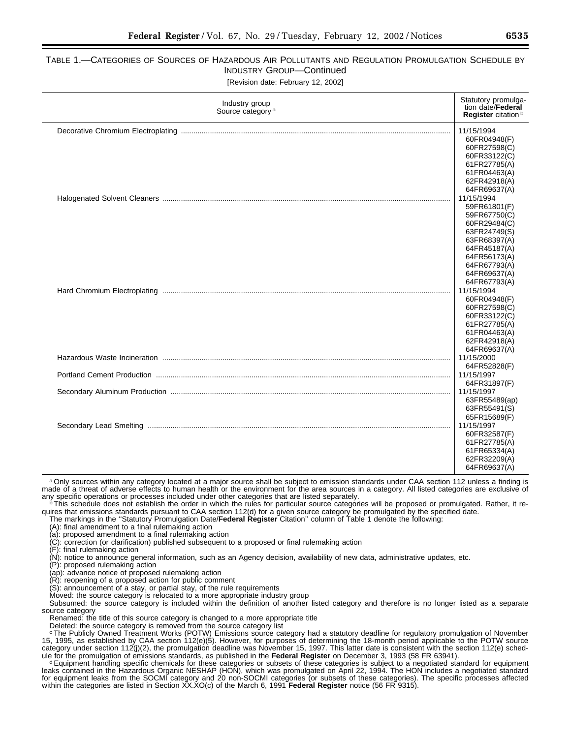# TABLE 1.—CATEGORIES OF SOURCES OF HAZARDOUS AIR POLLUTANTS AND REGULATION PROMULGATION SCHEDULE BY INDUSTRY GROUP—Continued

| [Revision date: February 12, 2002] |  |  |  |  |
|------------------------------------|--|--|--|--|
|------------------------------------|--|--|--|--|

| Industry group<br>Source category <sup>a</sup> |  | Statutory promulga-<br>tion date/Federal<br>Register citation <sup>b</sup>                                                                                                                                                                                                                               |
|------------------------------------------------|--|----------------------------------------------------------------------------------------------------------------------------------------------------------------------------------------------------------------------------------------------------------------------------------------------------------|
|                                                |  | 11/15/1994<br>60FR04948(F)<br>60FR27598(C)<br>60FR33122(C)<br>61FR27785(A)<br>61FR04463(A)<br>62FR42918(A)<br>64FR69637(A)<br>11/15/1994<br>59FR61801(F)<br>59FR67750(C)<br>60FR29484(C)<br>63FR24749(S)<br>63FR68397(A)<br>64FR45187(A)<br>64FR56173(A)<br>64FR67793(A)<br>64FR69637(A)<br>64FR67793(A) |
|                                                |  |                                                                                                                                                                                                                                                                                                          |
|                                                |  | 11/15/1994<br>60FR04948(F)<br>60FR27598(C)<br>60FR33122(C)<br>61FR27785(A)<br>61FR04463(A)<br>62FR42918(A)<br>64FR69637(A)                                                                                                                                                                               |
|                                                |  | 11/15/2000<br>64FR52828(F)                                                                                                                                                                                                                                                                               |
|                                                |  | 11/15/1997<br>64FR31897(F)                                                                                                                                                                                                                                                                               |
|                                                |  | 11/15/1997<br>63FR55489(ap)<br>63FR55491(S)<br>65FR15689(F)                                                                                                                                                                                                                                              |
|                                                |  | 11/15/1997<br>60FR32587(F)<br>61FR27785(A)<br>61FR65334(A)<br>62FR32209(A)<br>64FR69637(A)                                                                                                                                                                                                               |

a Only sources within any category located at a major source shall be subject to emission standards under CAA section 112 unless a finding is made of a threat of adverse effects to human health or the environment for the area sources in a category. All listed categories are exclusive of<br>any specific operations or processes included under other categories that ar

<sup>6</sup>This schedule does not establish the order in which the rules for particular source categories will be proposed or promulgated. Rather, it requires that emissions standards pursuant to CAA section 112(d) for a given source category be promulgated by the specified date.

The markings in the ''Statutory Promulgation Date/**Federal Register** Citation'' column of Table 1 denote the following:

(A): final amendment to a final rulemaking action

(a): proposed amendment to a final rulemaking action

(C): correction (or clarification) published subsequent to a proposed or final rulemaking action

(F): final rulemaking action

(N): notice to announce general information, such as an Agency decision, availability of new data, administrative updates, etc.

(P): proposed rulemaking action

(ap): advance notice of proposed rulemaking action

(R): reopening of a proposed action for public comment

(S): announcement of a stay, or partial stay, of the rule requirements

Moved: the source category is relocated to a more appropriate industry group

Subsumed: the source category is included within the definition of another listed category and therefore is no longer listed as a separate source category

Renamed: the title of this source category is changed to a more appropriate title

Deleted: the source category is removed from the source category list

cThe Publicly Owned Treatment Works (POTW) Emissions source category had a statutory deadline for regulatory promulgation of November 15, 1995, as established by CAA section 112(e)(5). However, for purposes of determining the 18-month period applicable to the POTW source category under section 112(j)(2), the promulgation deadline was November 15, 1997. This latter date is consistent with the section 112(e) sched-

ule for the promulgation of emissions standards, as published in the Federal Register on December 3, 1993 (58 FR 63941).<br>Equipment handling specific chemicals for these categories or subsets of these categories is subject leaks contained in the Hazardous Organic NESHAP (HON), which was promulgated on April 22, 1994. The HON includes a negotiated standard for equipment leaks from the SOCMI category and 20 non-SOCMI categories (or subsets of these categories). The specific processes affected within the categories are listed in Section XX.XO(c) of the March 6, 1991 **Federal Register** notice (56 FR 9315).